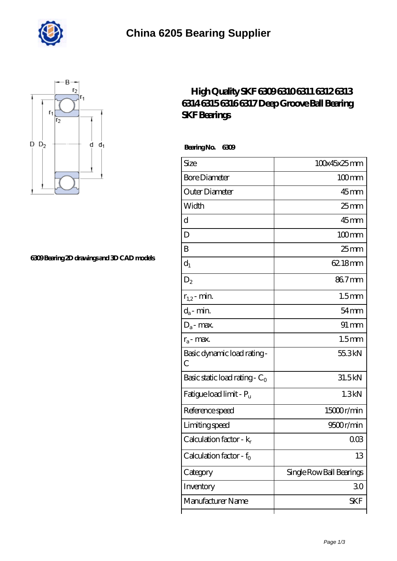



## **[6309 Bearing 2D drawings and 3D CAD models](https://superdovidka.com/pic-820244.html)**

## **[High Quality SKF 6309 6310 6311 6312 6313](https://superdovidka.com/skf-6313-Bearing/high-quality-skf-6309-6310-6311-6312-6313-6314-6315-6316-6317-deep-groove-ball-bearing-skf-bearings.html) [6314 6315 6316 6317 Deep Groove Ball Bearing](https://superdovidka.com/skf-6313-Bearing/high-quality-skf-6309-6310-6311-6312-6313-6314-6315-6316-6317-deep-groove-ball-bearing-skf-bearings.html) [SKF Bearings](https://superdovidka.com/skf-6313-Bearing/high-quality-skf-6309-6310-6311-6312-6313-6314-6315-6316-6317-deep-groove-ball-bearing-skf-bearings.html)**

 **Bearing No. 6309**

| Size                                        | 100x45x25mm              |
|---------------------------------------------|--------------------------|
| <b>Bore Diameter</b>                        | $100$ <sub>mm</sub>      |
| Outer Diameter                              | 45 <sub>mm</sub>         |
| Width                                       | $25 \text{mm}$           |
| d                                           | $45$ mm                  |
| D                                           | $100$ mm                 |
| B                                           | 25 mm                    |
| $d_1$                                       | 62.18mm                  |
| $D_2$                                       | 867mm                    |
| $r_{1,2}$ - min.                            | 1.5 <sub>mm</sub>        |
| $d_a$ - min.                                | $54 \text{mm}$           |
| $D_a$ - max.                                | $91 \, \text{mm}$        |
| $r_a$ - max.                                | 1.5 <sub>mm</sub>        |
| Basic dynamic load rating-<br>$\mathcal{C}$ | 55.3kN                   |
| Basic static load rating - $C_0$            | 31.5kN                   |
| Fatigue load limit - Pu                     | 1.3kN                    |
| Reference speed                             | 15000r/min               |
| Limiting speed                              | 9500r/min                |
| Calculation factor - $k_r$                  | $00\%$                   |
| Calculation factor - f <sub>o</sub>         | 13                       |
| Category                                    | Single Row Ball Bearings |
| Inventory                                   | 30                       |
| Manufacturer Name                           | SKF                      |
|                                             |                          |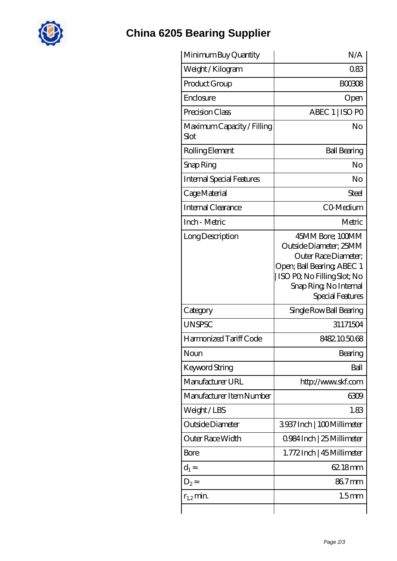

## **[China 6205 Bearing Supplier](https://superdovidka.com)**

| Minimum Buy Quantity               | N/A                                                                                                                                                                            |
|------------------------------------|--------------------------------------------------------------------------------------------------------------------------------------------------------------------------------|
| Weight/Kilogram                    | 083                                                                                                                                                                            |
| Product Group                      | <b>BOO308</b>                                                                                                                                                                  |
| Enclosure                          | Open                                                                                                                                                                           |
| Precision Class                    | ABEC 1   ISO PO                                                                                                                                                                |
| Maximum Capacity / Filling<br>Slot | No                                                                                                                                                                             |
| Rolling Element                    | <b>Ball Bearing</b>                                                                                                                                                            |
| Snap Ring                          | No                                                                                                                                                                             |
| <b>Internal Special Features</b>   | No                                                                                                                                                                             |
| Cage Material                      | Steel                                                                                                                                                                          |
| Internal Clearance                 | CO-Medium                                                                                                                                                                      |
| Inch - Metric                      | Metric                                                                                                                                                                         |
| Long Description                   | 45MM Bore; 100MM<br>Outside Diameter; 25MM<br>Outer Race Diameter;<br>Open; Ball Bearing; ABEC 1<br>  ISO PQ No Filling Slot; No<br>Snap Ring, No Internal<br>Special Features |
| Category                           | Single Row Ball Bearing                                                                                                                                                        |
| <b>UNSPSC</b>                      | 31171504                                                                                                                                                                       |
| Harmonized Tariff Code             | 8482105068                                                                                                                                                                     |
| Noun                               | Bearing                                                                                                                                                                        |
| Keyword String                     | Ball                                                                                                                                                                           |
| Manufacturer URL                   | http://www.skf.com                                                                                                                                                             |
| Manufacturer Item Number           | 6309                                                                                                                                                                           |
| Weight/LBS                         | 1.83                                                                                                                                                                           |
| Outside Diameter                   | 3937 Inch   100 Millimeter                                                                                                                                                     |
| Outer Race Width                   | 0984 Inch   25 Millimeter                                                                                                                                                      |
| Bore                               | 1.772Inch   45 Millimeter                                                                                                                                                      |
| $d_1$                              | 62.18mm                                                                                                                                                                        |
| $D_{2}$                            | 867mm                                                                                                                                                                          |
| $r_{1,2}$ min.                     | 1.5 <sub>mm</sub>                                                                                                                                                              |
|                                    |                                                                                                                                                                                |